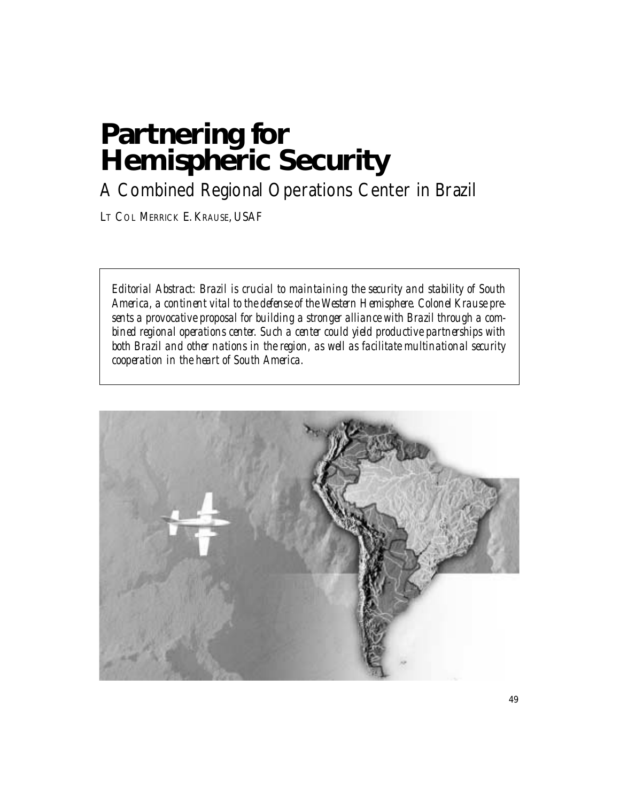# **Partnering for Hemispheric Security**

A Combined Regional Operations Center in Brazil

LT COL MERRICK E. KRAUSE, USAF

*Editorial Abstract: Brazil is crucial to maintaining the security and stability of South America, a continent vital to the defense of the Western Hemisphere. Colonel Krause presents a provocative proposal for building a stronger alliance with Brazil through a combined regional operations center. Such a center could yield productive partnerships with both Brazil and other nations in the region, as well as facilitate multinational security cooperation in the heart of South America.* 

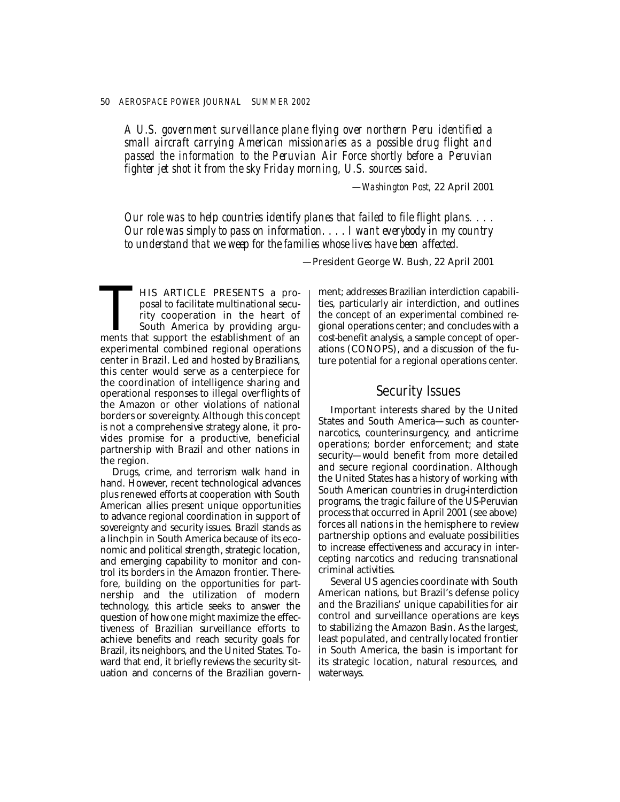*A U.S. government surveillance plane flying over northern Peru identified a small aircraft carrying American missionaries as a possible drug flight and passed the information to the Peruvian Air Force shortly before a Peruvian fighter jet shot it from the sky Friday morning, U.S. sources said.* 

—*Washington Post,* 22 April 2001

*Our role was to help countries identify planes that failed to file flight plans. . . . Our role was simply to pass on information. . . . I want everybody in my country to understand that we weep for the families whose lives have been affected.* 

—President George W. Bush, 22 April 2001

THIS ARTICLE PRESENTS a proposal to facilitate multinational security cooperation in the heart of South America by providing arguments that support the establishment of an posal to facilitate multinational security cooperation in the heart of South America by providing arguexperimental combined regional operations center in Brazil. Led and hosted by Brazilians, this center would serve as a centerpiece for the coordination of intelligence sharing and operational responses to illegal overflights of the Amazon or other violations of national borders or sovereignty. Although this concept is not a comprehensive strategy alone, it provides promise for a productive, beneficial partnership with Brazil and other nations in the region.

Drugs, crime, and terrorism walk hand in hand. However, recent technological advances plus renewed efforts at cooperation with South American allies present unique opportunities to advance regional coordination in support of sovereignty and security issues. Brazil stands as a linchpin in South America because of its economic and political strength, strategic location, and emerging capability to monitor and control its borders in the Amazon frontier. Therefore, building on the opportunities for partnership and the utilization of modern technology, this article seeks to answer the question of how one might maximize the effectiveness of Brazilian surveillance efforts to achieve benefits and reach security goals for Brazil, its neighbors, and the United States. Toward that end, it briefly reviews the security situation and concerns of the Brazilian government; addresses Brazilian interdiction capabilities, particularly air interdiction, and outlines the concept of an experimental combined regional operations center; and concludes with a cost-benefit analysis, a sample concept of operations (CONOPS), and a discussion of the future potential for a regional operations center.

# Security Issues

Important interests shared by the United States and South America—such as counternarcotics, counterinsurgency, and anticrime operations; border enforcement; and state security—would benefit from more detailed and secure regional coordination. Although the United States has a history of working with South American countries in drug-interdiction programs, the tragic failure of the US-Peruvian process that occurred in April 2001 (see above) forces all nations in the hemisphere to review partnership options and evaluate possibilities to increase effectiveness and accuracy in intercepting narcotics and reducing transnational criminal activities.

Several US agencies coordinate with South American nations, but Brazil's defense policy and the Brazilians' unique capabilities for air control and surveillance operations are keys to stabilizing the Amazon Basin. As the largest, least populated, and centrally located frontier in South America, the basin is important for its strategic location, natural resources, and waterways.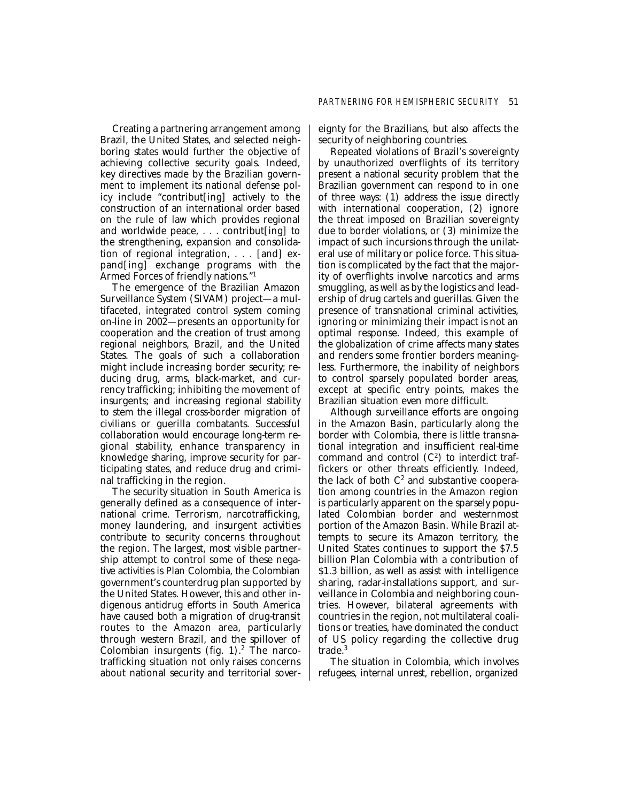Creating a partnering arrangement among Brazil, the United States, and selected neighboring states would further the objective of achieving collective security goals. Indeed, key directives made by the Brazilian government to implement its national defense policy include "contribut[ing] actively to the construction of an international order based on the rule of law which provides regional and worldwide peace, . . . contribut[ing] to the strengthening, expansion and consolidation of regional integration, . . . [and] expand[ing] exchange programs with the Armed Forces of friendly nations."1

The emergence of the Brazilian Amazon Surveillance System (SIVAM) project—a multifaceted, integrated control system coming on-line in 2002—presents an opportunity for cooperation and the creation of trust among regional neighbors, Brazil, and the United States. The goals of such a collaboration might include increasing border security; reducing drug, arms, black-market, and currency trafficking; inhibiting the movement of insurgents; and increasing regional stability to stem the illegal cross-border migration of civilians or guerilla combatants. Successful collaboration would encourage long-term regional stability, enhance transparency in knowledge sharing, improve security for participating states, and reduce drug and criminal trafficking in the region.

The security situation in South America is generally defined as a consequence of international crime. Terrorism, narcotrafficking, money laundering, and insurgent activities contribute to security concerns throughout the region. The largest, most visible partnership attempt to control some of these negative activities is Plan Colombia, the Colombian government's counterdrug plan supported by the United States. However, this and other indigenous antidrug efforts in South America have caused both a migration of drug-transit routes to the Amazon area, particularly through western Brazil, and the spillover of Colombian insurgents (fig.  $1$ ).<sup>2</sup> The narcotrafficking situation not only raises concerns about national security and territorial sovereignty for the Brazilians, but also affects the security of neighboring countries.

Repeated violations of Brazil's sovereignty by unauthorized overflights of its territory present a national security problem that the Brazilian government can respond to in one of three ways: (1) address the issue directly with international cooperation, (2) ignore the threat imposed on Brazilian sovereignty due to border violations, or (3) minimize the impact of such incursions through the unilateral use of military or police force. This situation is complicated by the fact that the majority of overflights involve narcotics and arms smuggling, as well as by the logistics and leadership of drug cartels and guerillas. Given the presence of transnational criminal activities, ignoring or minimizing their impact is not an optimal response. Indeed, this example of the globalization of crime affects many states and renders some frontier borders meaningless. Furthermore, the inability of neighbors to control sparsely populated border areas, except at specific entry points, makes the Brazilian situation even more difficult.

Although surveillance efforts are ongoing in the Amazon Basin, particularly along the border with Colombia, there is little transnational integration and insufficient real-time command and control  $(C^2)$  to interdict traffickers or other threats efficiently. Indeed, the lack of both  $C^2$  and substantive cooperation among countries in the Amazon region is particularly apparent on the sparsely populated Colombian border and westernmost portion of the Amazon Basin. While Brazil attempts to secure its Amazon territory, the United States continues to support the \$7.5 billion Plan Colombia with a contribution of \$1.3 billion, as well as assist with intelligence sharing, radar-installations support, and surveillance in Colombia and neighboring countries. However, bilateral agreements with countries in the region, not multilateral coalitions or treaties, have dominated the conduct of US policy regarding the collective drug trade.3

The situation in Colombia, which involves refugees, internal unrest, rebellion, organized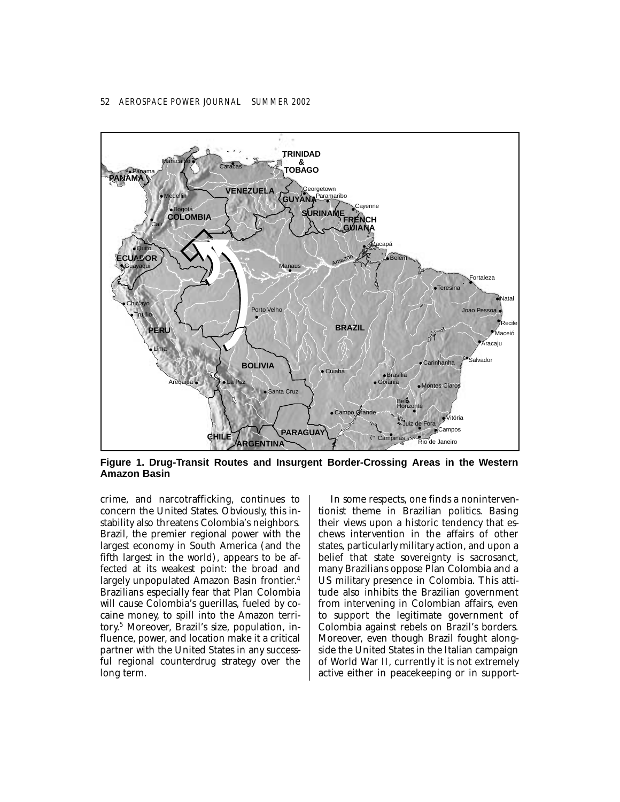## 52 *AEROSPACE POWER JOURNAL SUMMER 2002*



**Figure 1. Drug-Transit Routes and Insurgent Border-Crossing Areas in the Western Amazon Basin** 

crime, and narcotrafficking, continues to concern the United States. Obviously, this instability also threatens Colombia's neighbors. Brazil, the premier regional power with the largest economy in South America (and the fifth largest in the world), appears to be affected at its weakest point: the broad and largely unpopulated Amazon Basin frontier. 4 Brazilians especially fear that Plan Colombia will cause Colombia's guerillas, fueled by cocaine money, to spill into the Amazon territory. 5 Moreover, Brazil's size, population, influence, power, and location make it a critical partner with the United States in any successful regional counterdrug strategy over the long term.

In some respects, one finds a noninterventionist theme in Brazilian politics. Basing their views upon a historic tendency that eschews intervention in the affairs of other states, particularly military action, and upon a belief that state sovereignty is sacrosanct, many Brazilians oppose Plan Colombia and a US military presence in Colombia. This attitude also inhibits the Brazilian government from intervening in Colombian affairs, even to support the legitimate government of Colombia against rebels on Brazil's borders. Moreover, even though Brazil fought alongside the United States in the Italian campaign of World War II, currently it is not extremely active either in peacekeeping or in support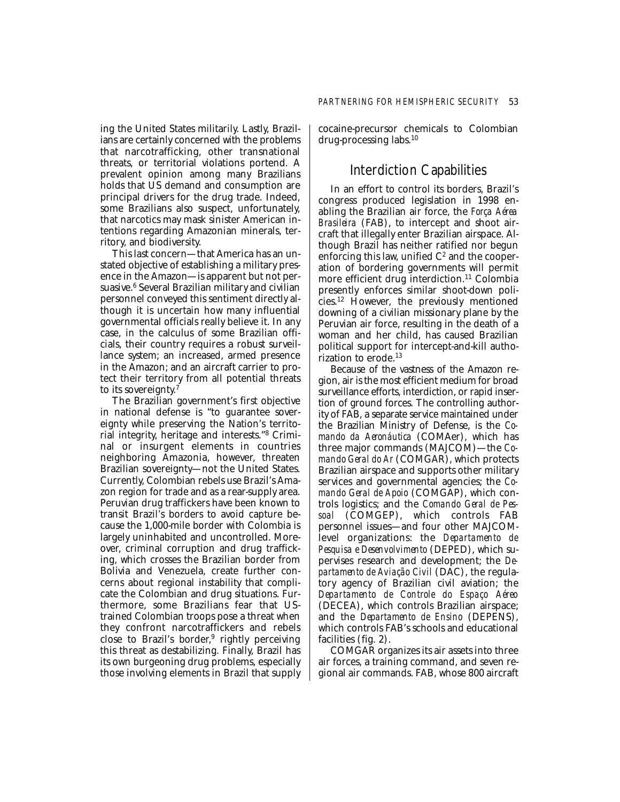ing the United States militarily. Lastly, Brazilians are certainly concerned with the problems that narcotrafficking, other transnational threats, or territorial violations portend. A prevalent opinion among many Brazilians holds that US demand and consumption are principal drivers for the drug trade. Indeed, some Brazilians also suspect, unfortunately, that narcotics may mask sinister American intentions regarding Amazonian minerals, territory, and biodiversity.

This last concern—that America has an unstated objective of establishing a military presence in the Amazon—is apparent but not persuasive.<sup>6</sup> Several Brazilian military and civilian personnel conveyed this sentiment directly although it is uncertain how many influential governmental officials really believe it. In any case, in the calculus of some Brazilian officials, their country requires a robust surveillance system; an increased, armed presence in the Amazon; and an aircraft carrier to protect their territory from all potential threats to its sovereignty.<sup>7</sup>

The Brazilian government's first objective in national defense is "to guarantee sovereignty while preserving the Nation's territorial integrity, heritage and interests."8 Criminal or insurgent elements in countries neighboring Amazonia, however, threaten Brazilian sovereignty—not the United States. Currently, Colombian rebels use Brazil's Amazon region for trade and as a rear-supply area. Peruvian drug traffickers have been known to transit Brazil's borders to avoid capture because the 1,000-mile border with Colombia is largely uninhabited and uncontrolled. Moreover, criminal corruption and drug trafficking, which crosses the Brazilian border from Bolivia and Venezuela, create further concerns about regional instability that complicate the Colombian and drug situations. Furthermore, some Brazilians fear that UStrained Colombian troops pose a threat when they confront narcotraffickers and rebels close to Brazil's border,<sup>9</sup> rightly perceiving this threat as destabilizing. Finally, Brazil has its own burgeoning drug problems, especially those involving elements in Brazil that supply

cocaine-precursor chemicals to Colombian drug-processing labs.10

# Interdiction Capabilities

In an effort to control its borders, Brazil's congress produced legislation in 1998 enabling the Brazilian air force, the *Força Aérea Brasileira* (FAB), to intercept and shoot aircraft that illegally enter Brazilian airspace. Although Brazil has neither ratified nor begun enforcing this law, unified  $C<sup>2</sup>$  and the cooperation of bordering governments will permit more efficient drug interdiction.<sup>11</sup> Colombia presently enforces similar shoot-down policies.12 However, the previously mentioned downing of a civilian missionary plane by the Peruvian air force, resulting in the death of a woman and her child, has caused Brazilian political support for intercept-and-kill authorization to erode. $13$ 

Because of the vastness of the Amazon region, air is the most efficient medium for broad surveillance efforts, interdiction, or rapid insertion of ground forces. The controlling authority of FAB, a separate service maintained under the Brazilian Ministry of Defense, is the *Comando da Aeronáutica* (COMAer), which has three major commands (MAJCOM)—the *Comando Geral do Ar* (COMGAR), which protects Brazilian airspace and supports other military services and governmental agencies; the *Comando Geral de Apoio* (COMGAP), which controls logistics; and the *Comando Geral de Pessoal* (COMGEP), which controls FAB personnel issues—and four other MAJCOMlevel organizations: the *Departamento de Pesquisa e Desenvolvimento* (DEPED), which supervises research and development; the *Departamento de Aviação Civil* (DAC), the regulatory agency of Brazilian civil aviation; the *Departamento de Controle do Espaço Aéreo*  (DECEA), which controls Brazilian airspace; and the *Departamento de Ensino* (DEPENS), which controls FAB's schools and educational facilities (fig. 2).

COMGAR organizes its air assets into three air forces, a training command, and seven regional air commands. FAB, whose 800 aircraft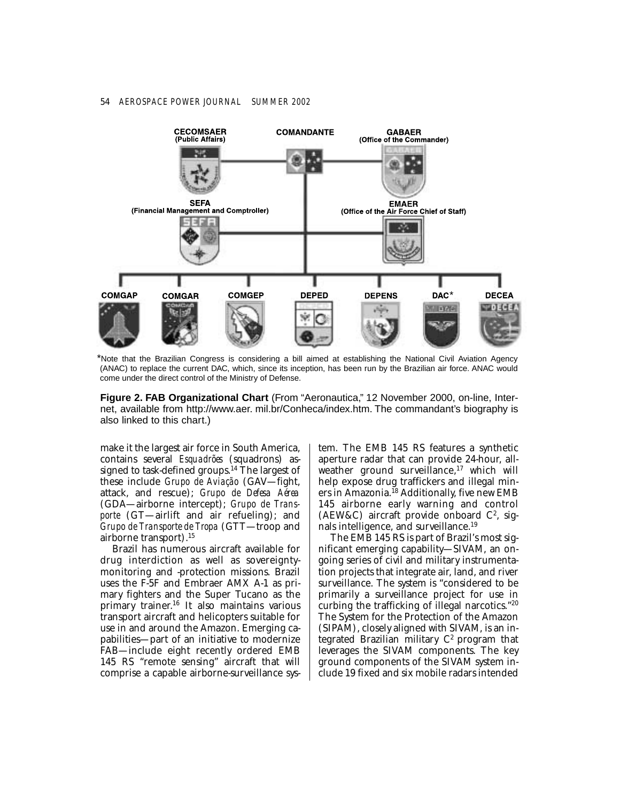## 54 *AEROSPACE POWER JOURNAL SUMMER 2002*



\*Note that the Brazilian Congress is considering a bill aimed at establishing the National Civil Aviation Agency (ANAC) to replace the current DAC, which, since its inception, has been run by the Brazilian air force. ANAC would come under the direct control of the Ministry of Defense.

**Figure 2. FAB Organizational Chart** (From "Aeronautica," 12 November 2000, on-line, Internet, available from http://www.aer. mil.br/Conheca/index.htm. The commandant's biography is also linked to this chart.)

make it the largest air force in South America, contains several *Esquadrões* (squadrons) assigned to task-defined groups.<sup>14</sup> The largest of these include *Grupo de Aviação* (GAV—fight, attack, and rescue); *Grupo de Defesa Aérea*  (GDA—airborne intercept); *Grupo de Transporte* (GT—airlift and air refueling); and *Grupo de Transporte de Tropa* (GTT—troop and airborne transport).15

Brazil has numerous aircraft available for drug interdiction as well as sovereigntymonitoring and -protection missions. Brazil uses the F-5F and Embraer AMX A-1 as primary fighters and the Super Tucano as the primary trainer. 16 It also maintains various transport aircraft and helicopters suitable for use in and around the Amazon. Emerging capabilities—part of an initiative to modernize FAB—include eight recently ordered EMB 145 RS "remote sensing" aircraft that will comprise a capable airborne-surveillance system. The EMB 145 RS features a synthetic aperture radar that can provide 24-hour, allweather ground surveillance, $17$  which will help expose drug traffickers and illegal miners in Amazonia.<sup>18</sup> Additionally, five new EMB 145 airborne early warning and control (AEW&C) aircraft provide onboard  $C^2$ , signals intelligence, and surveillance.19

The EMB 145 RS is part of Brazil's most significant emerging capability—SIVAM, an ongoing series of civil and military instrumentation projects that integrate air, land, and river surveillance. The system is "considered to be primarily a surveillance project for use in curbing the trafficking of illegal narcotics."20 The System for the Protection of the Amazon (SIPAM), closely aligned with SIVAM, is an integrated Brazilian military  $C<sup>2</sup>$  program that leverages the SIVAM components. The key ground components of the SIVAM system include 19 fixed and six mobile radars intended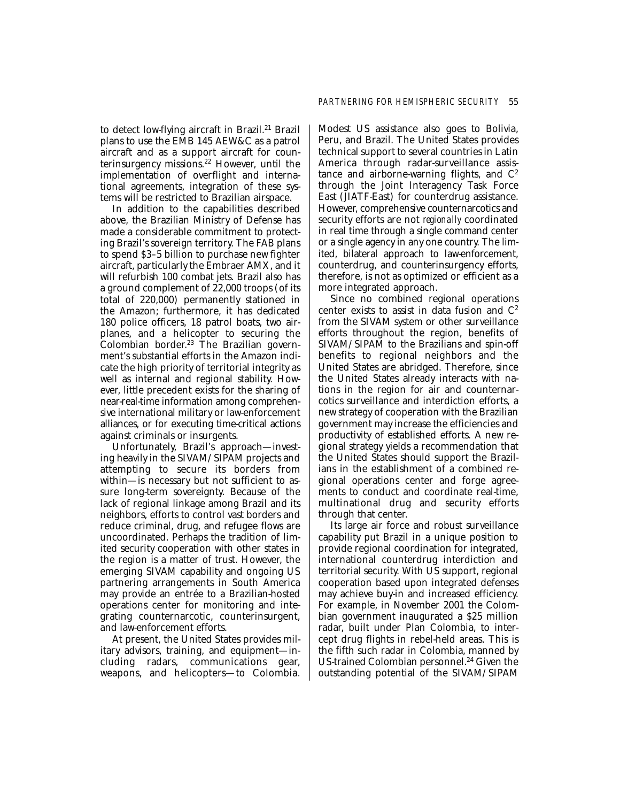to detect low-flying aircraft in Brazil.<sup>21</sup> Brazil plans to use the EMB 145 AEW&C as a patrol aircraft and as a support aircraft for counterinsurgency missions.22 However, until the implementation of overflight and international agreements, integration of these systems will be restricted to Brazilian airspace.

In addition to the capabilities described above, the Brazilian Ministry of Defense has made a considerable commitment to protecting Brazil's sovereign territory. The FAB plans to spend \$3–5 billion to purchase new fighter aircraft, particularly the Embraer AMX, and it will refurbish 100 combat jets. Brazil also has a ground complement of 22,000 troops (of its total of 220,000) permanently stationed in the Amazon; furthermore, it has dedicated 180 police officers, 18 patrol boats, two airplanes, and a helicopter to securing the Colombian border. 23 The Brazilian government's substantial efforts in the Amazon indicate the high priority of territorial integrity as well as internal and regional stability. However, little precedent exists for the sharing of near-real-time information among comprehensive international military or law-enforcement alliances, or for executing time-critical actions against criminals or insurgents.

Unfortunately, Brazil's approach—investing heavily in the SIVAM/SIPAM projects and attempting to secure its borders from within—is necessary but not sufficient to assure long-term sovereignty. Because of the lack of regional linkage among Brazil and its neighbors, efforts to control vast borders and reduce criminal, drug, and refugee flows are uncoordinated. Perhaps the tradition of limited security cooperation with other states in the region is a matter of trust. However, the emerging SIVAM capability and ongoing US partnering arrangements in South America may provide an entrée to a Brazilian-hosted operations center for monitoring and integrating counternarcotic, counterinsurgent, and law-enforcement efforts.

At present, the United States provides military advisors, training, and equipment—including radars, communications gear, weapons, and helicopters—to Colombia. Modest US assistance also goes to Bolivia, Peru, and Brazil. The United States provides technical support to several countries in Latin America through radar-surveillance assistance and airborne-warning flights, and  $C<sup>2</sup>$ through the Joint Interagency Task Force East (JIATF-East) for counterdrug assistance. However, comprehensive counternarcotics and security efforts are not *regionally* coordinated in real time through a single command center or a single agency in any one country. The limited, bilateral approach to law-enforcement, counterdrug, and counterinsurgency efforts, therefore, is not as optimized or efficient as a more integrated approach.

Since no combined regional operations center exists to assist in data fusion and  $C<sup>2</sup>$ from the SIVAM system or other surveillance efforts throughout the region, benefits of SIVAM/SIPAM to the Brazilians and spin-off benefits to regional neighbors and the United States are abridged. Therefore, since the United States already interacts with nations in the region for air and counternarcotics surveillance and interdiction efforts, a new strategy of cooperation with the Brazilian government may increase the efficiencies and productivity of established efforts. A new regional strategy yields a recommendation that the United States should support the Brazilians in the establishment of a combined regional operations center and forge agreements to conduct and coordinate real-time, multinational drug and security efforts through that center.

Its large air force and robust surveillance capability put Brazil in a unique position to provide regional coordination for integrated, international counterdrug interdiction and territorial security. With US support, regional cooperation based upon integrated defenses may achieve buy-in and increased efficiency. For example, in November 2001 the Colombian government inaugurated a \$25 million radar, built under Plan Colombia, to intercept drug flights in rebel-held areas. This is the fifth such radar in Colombia, manned by US-trained Colombian personnel.<sup>24</sup> Given the outstanding potential of the SIVAM/SIPAM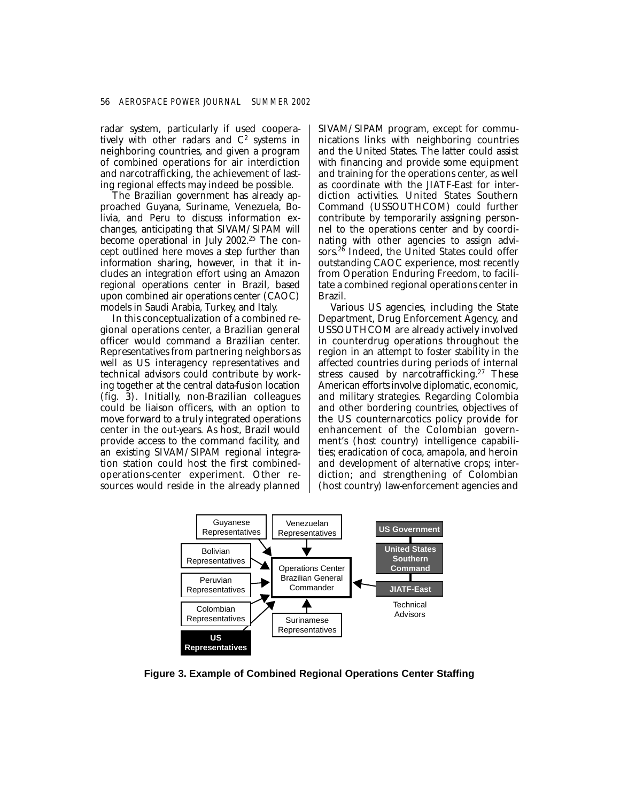radar system, particularly if used cooperatively with other radars and  $C<sup>2</sup>$  systems in neighboring countries, and given a program of combined operations for air interdiction and narcotrafficking, the achievement of lasting regional effects may indeed be possible.

The Brazilian government has already approached Guyana, Suriname, Venezuela, Bolivia, and Peru to discuss information exchanges, anticipating that SIVAM/SIPAM will become operational in July 2002.<sup>25</sup> The concept outlined here moves a step further than information sharing, however, in that it includes an integration effort using an Amazon regional operations center in Brazil, based upon combined air operations center (CAOC) models in Saudi Arabia, Turkey, and Italy.

In this conceptualization of a combined regional operations center, a Brazilian general officer would command a Brazilian center. Representatives from partnering neighbors as well as US interagency representatives and technical advisors could contribute by working together at the central data-fusion location (fig. 3). Initially, non-Brazilian colleagues could be liaison officers, with an option to move forward to a truly integrated operations center in the out-years. As host, Brazil would provide access to the command facility, and an existing SIVAM/SIPAM regional integration station could host the first combinedoperations-center experiment. Other resources would reside in the already planned

SIVAM/SIPAM program, except for communications links with neighboring countries and the United States. The latter could assist with financing and provide some equipment and training for the operations center, as well as coordinate with the JIATF-East for interdiction activities. United States Southern Command (USSOUTHCOM) could further contribute by temporarily assigning personnel to the operations center and by coordinating with other agencies to assign advisors.<sup>26</sup> Indeed, the United States could offer outstanding CAOC experience, most recently from Operation Enduring Freedom, to facilitate a combined regional operations center in Brazil.

Various US agencies, including the State Department, Drug Enforcement Agency, and USSOUTHCOM are already actively involved in counterdrug operations throughout the region in an attempt to foster stability in the affected countries during periods of internal stress caused by narcotrafficking.<sup>27</sup> These American efforts involve diplomatic, economic, and military strategies. Regarding Colombia and other bordering countries, objectives of the US counternarcotics policy provide for enhancement of the Colombian government's (host country) intelligence capabilities; eradication of coca, amapola, and heroin and development of alternative crops; interdiction; and strengthening of Colombian (host country) law-enforcement agencies and



**Figure 3. Example of Combined Regional Operations Center Staffing**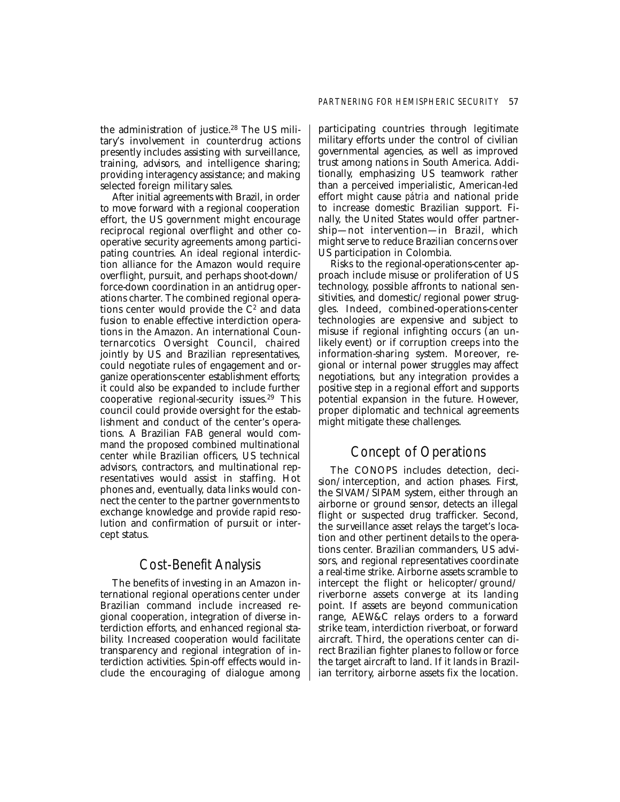the administration of justice.<sup>28</sup> The US military's involvement in counterdrug actions presently includes assisting with surveillance, training, advisors, and intelligence sharing; providing interagency assistance; and making selected foreign military sales.

After initial agreements with Brazil, in order to move forward with a regional cooperation effort, the US government might encourage reciprocal regional overflight and other cooperative security agreements among participating countries. An ideal regional interdiction alliance for the Amazon would require overflight, pursuit, and perhaps shoot-down/ force-down coordination in an antidrug operations charter. The combined regional operations center would provide the  $C<sup>2</sup>$  and data fusion to enable effective interdiction operations in the Amazon. An international Counternarcotics Oversight Council, chaired jointly by US and Brazilian representatives, could negotiate rules of engagement and organize operations-center establishment efforts; it could also be expanded to include further cooperative regional-security issues. $29$  This council could provide oversight for the establishment and conduct of the center's operations. A Brazilian FAB general would command the proposed combined multinational center while Brazilian officers, US technical advisors, contractors, and multinational representatives would assist in staffing. Hot phones and, eventually, data links would connect the center to the partner governments to exchange knowledge and provide rapid resolution and confirmation of pursuit or intercept status.

# Cost-Benefit Analysis

The benefits of investing in an Amazon international regional operations center under Brazilian command include increased regional cooperation, integration of diverse interdiction efforts, and enhanced regional stability. Increased cooperation would facilitate transparency and regional integration of interdiction activities. Spin-off effects would include the encouraging of dialogue among participating countries through legitimate military efforts under the control of civilian governmental agencies, as well as improved trust among nations in South America. Additionally, emphasizing US teamwork rather than a perceived imperialistic, American-led effort might cause *pátria* and national pride to increase domestic Brazilian support. Finally, the United States would offer partnership—not intervention—in Brazil, which might serve to reduce Brazilian concerns over US participation in Colombia.

Risks to the regional-operations-center approach include misuse or proliferation of US technology, possible affronts to national sensitivities, and domestic/regional power struggles. Indeed, combined-operations-center technologies are expensive and subject to misuse if regional infighting occurs (an unlikely event) or if corruption creeps into the information-sharing system. Moreover, regional or internal power struggles may affect negotiations, but any integration provides a positive step in a regional effort and supports potential expansion in the future. However, proper diplomatic and technical agreements might mitigate these challenges.

# Concept of Operations

The CONOPS includes detection, decision/interception, and action phases. First, the SIVAM/SIPAM system, either through an airborne or ground sensor, detects an illegal flight or suspected drug trafficker. Second, the surveillance asset relays the target's location and other pertinent details to the operations center. Brazilian commanders, US advisors, and regional representatives coordinate a real-time strike. Airborne assets scramble to intercept the flight or helicopter/ground/ riverborne assets converge at its landing point. If assets are beyond communication range, AEW&C relays orders to a forward strike team, interdiction riverboat, or forward aircraft. Third, the operations center can direct Brazilian fighter planes to follow or force the target aircraft to land. If it lands in Brazilian territory, airborne assets fix the location.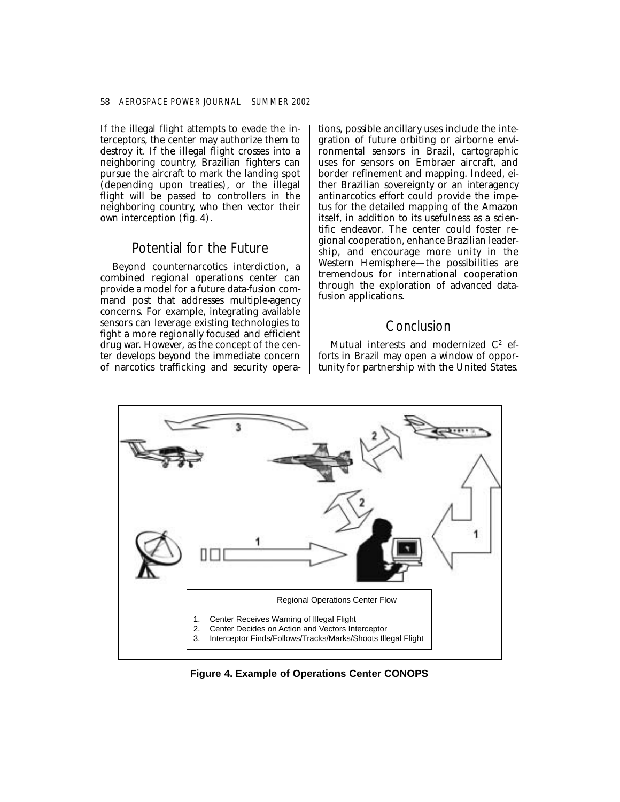If the illegal flight attempts to evade the interceptors, the center may authorize them to destroy it. If the illegal flight crosses into a neighboring country, Brazilian fighters can pursue the aircraft to mark the landing spot (depending upon treaties), or the illegal flight will be passed to controllers in the neighboring country, who then vector their own interception (fig. 4).

## Potential for the Future

Beyond counternarcotics interdiction, a combined regional operations center can provide a model for a future data-fusion command post that addresses multiple-agency concerns. For example, integrating available sensors can leverage existing technologies to fight a more regionally focused and efficient drug war. However, as the concept of the center develops beyond the immediate concern of narcotics trafficking and security operations, possible ancillary uses include the integration of future orbiting or airborne environmental sensors in Brazil, cartographic uses for sensors on Embraer aircraft, and border refinement and mapping. Indeed, either Brazilian sovereignty or an interagency antinarcotics effort could provide the impetus for the detailed mapping of the Amazon itself, in addition to its usefulness as a scientific endeavor. The center could foster regional cooperation, enhance Brazilian leadership, and encourage more unity in the Western Hemisphere—the possibilities are tremendous for international cooperation through the exploration of advanced datafusion applications.

# Conclusion

Mutual interests and modernized  $C^2$  efforts in Brazil may open a window of opportunity for partnership with the United States.



**Figure 4. Example of Operations Center CONOPS**